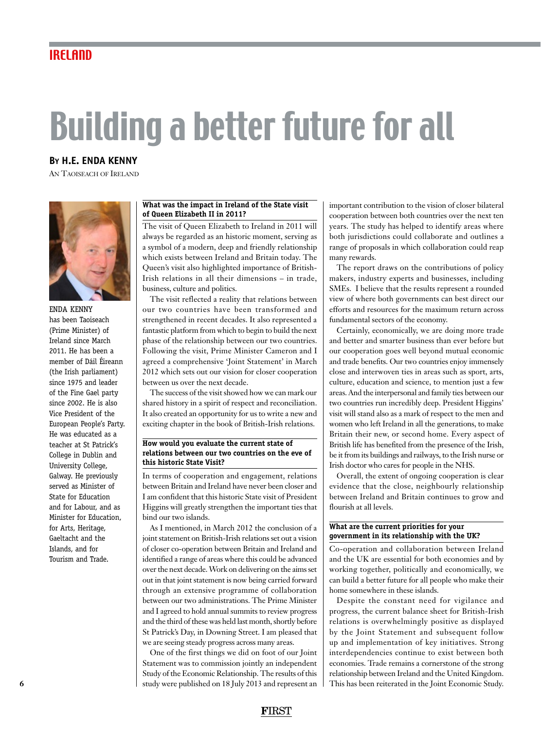# IRELAND

# Building a better future for all

## **By H.E. ENDA KENNY**

AN TAOISEACH OF IRELAND



ENDA KENNY has been Taoiseach (Prime Minister) of Ireland since March 2011. He has been a member of Dáil Éireann (the Irish parliament) since 1975 and leader of the Fine Gael party since 2002. He is also Vice President of the European People's Party. He was educated as a teacher at St Patrick's College in Dublin and University College, Galway. He previously served as Minister of State for Education and for Labour, and as Minister for Education, for Arts, Heritage, Gaeltacht and the Islands, and for Tourism and Trade.

### **What was the impact in Ireland of the State visit of Queen Elizabeth II in 2011?**

The visit of Queen Elizabeth to Ireland in 2011 will always be regarded as an historic moment, serving as a symbol of a modern, deep and friendly relationship which exists between Ireland and Britain today. The Queen's visit also highlighted importance of British-Irish relations in all their dimensions – in trade, business, culture and politics.

The visit reflected a reality that relations between our two countries have been transformed and strengthened in recent decades. It also represented a fantastic platform from which to begin to build the next phase of the relationship between our two countries. Following the visit, Prime Minister Cameron and I agreed a comprehensive 'Joint Statement' in March 2012 which sets out our vision for closer cooperation between us over the next decade.

The success of the visit showed how we can mark our shared history in a spirit of respect and reconciliation. It also created an opportunity for us to write a new and exciting chapter in the book of British-Irish relations.

#### **How would you evaluate the current state of relations between our two countries on the eve of this historic State Visit?**

In terms of cooperation and engagement, relations between Britain and Ireland have never been closer and I am confident that this historic State visit of President Higgins will greatly strengthen the important ties that bind our two islands.

As I mentioned, in March 2012 the conclusion of a joint statement on British-Irish relations set out a vision of closer co-operation between Britain and Ireland and identified a range of areas where this could be advanced over the next decade. Work on delivering on the aims set out in that joint statement is now being carried forward through an extensive programme of collaboration between our two administrations. The Prime Minister and I agreed to hold annual summits to review progress and the third of these was held last month, shortly before St Patrick's Day, in Downing Street. I am pleased that we are seeing steady progress across many areas.

One of the first things we did on foot of our Joint Statement was to commission jointly an independent Study of the Economic Relationship. The results of this study were published on 18 July 2013 and represent an

important contribution to the vision of closer bilateral cooperation between both countries over the next ten years. The study has helped to identify areas where both jurisdictions could collaborate and outlines a range of proposals in which collaboration could reap many rewards.

The report draws on the contributions of policy makers, industry experts and businesses, including SMEs. I believe that the results represent a rounded view of where both governments can best direct our efforts and resources for the maximum return across fundamental sectors of the economy.

Certainly, economically, we are doing more trade and better and smarter business than ever before but our cooperation goes well beyond mutual economic and trade benefits. Our two countries enjoy immensely close and interwoven ties in areas such as sport, arts, culture, education and science, to mention just a few areas. And the interpersonal and family ties between our two countries run incredibly deep. President Higgins' visit will stand also as a mark of respect to the men and women who left Ireland in all the generations, to make Britain their new, or second home. Every aspect of British life has benefited from the presence of the Irish, be it from its buildings and railways, to the Irish nurse or Irish doctor who cares for people in the NHS.

Overall, the extent of ongoing cooperation is clear evidence that the close, neighbourly relationship between Ireland and Britain continues to grow and flourish at all levels.

#### **What are the current priorities for your government in its relationship with the UK?**

Co-operation and collaboration between Ireland and the UK are essential for both economies and by working together, politically and economically, we can build a better future for all people who make their home somewhere in these islands.

Despite the constant need for vigilance and progress, the current balance sheet for British-Irish relations is overwhelmingly positive as displayed by the Joint Statement and subsequent follow up and implementation of key initiatives. Strong interdependencies continue to exist between both economies. Trade remains a cornerstone of the strong relationship between Ireland and the United Kingdom. This has been reiterated in the Joint Economic Study.